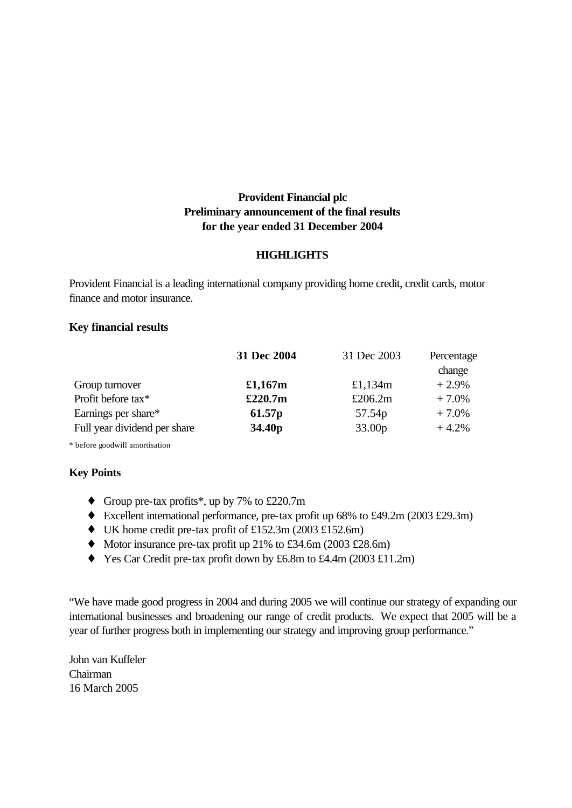# **Provident Financial plc Preliminary announcement of the final results for the year ended 31 December 2004**

### **HIGHLIGHTS**

Provident Financial is a leading international company providing home credit, credit cards, motor finance and motor insurance.

### **Key financial results**

| 31 Dec 2004        | 31 Dec 2003        | Percentage<br>change |
|--------------------|--------------------|----------------------|
| £1,167 $m$         | £1,134 $m$         | $+2.9%$              |
| £220.7m            | £206.2 $m$         | $+7.0\%$             |
| 61.57p             | 57.54p             | $+7.0%$              |
| 34.40 <sub>p</sub> | 33.00 <sub>p</sub> | $+4.2%$              |
|                    |                    |                      |

\* before goodwill amortisation

### **Key Points**

- ♦ Group pre-tax profits\*, up by 7% to £220.7m
- ♦ Excellent international performance, pre-tax profit up 68% to £49.2m (2003 £29.3m)
- ♦ UK home credit pre-tax profit of £152.3m (2003 £152.6m)
- $\blacklozenge$  Motor insurance pre-tax profit up 21% to £34.6m (2003 £28.6m)
- ♦ Yes Car Credit pre-tax profit down by £6.8m to £4.4m (2003 £11.2m)

"We have made good progress in 2004 and during 2005 we will continue our strategy of expanding our international businesses and broadening our range of credit products. We expect that 2005 will be a year of further progress both in implementing our strategy and improving group performance."

John van Kuffeler Chairman 16 March 2005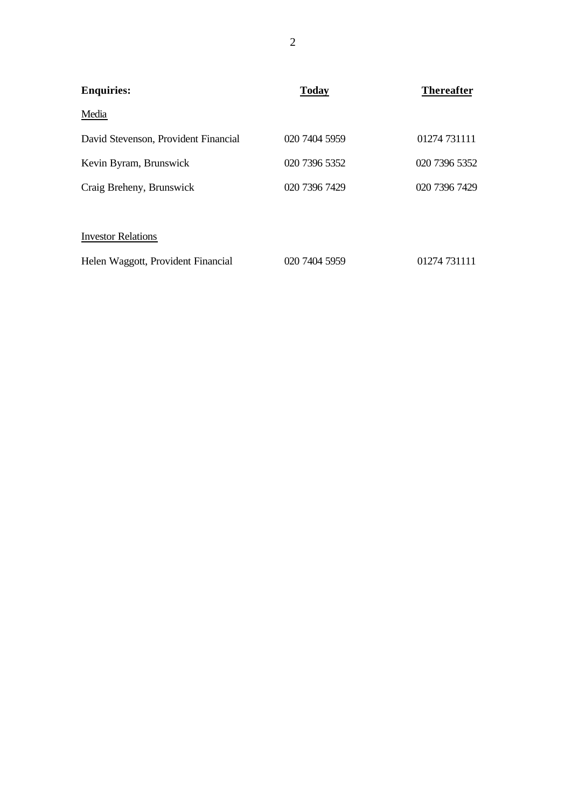| <b>Enquiries:</b>                    | <b>Today</b>  | <b>Thereafter</b> |
|--------------------------------------|---------------|-------------------|
| Media                                |               |                   |
| David Stevenson, Provident Financial | 020 7404 5959 | 01274 731111      |
| Kevin Byram, Brunswick               | 020 7396 5352 | 020 7396 5352     |
| Craig Breheny, Brunswick             | 020 7396 7429 | 020 7396 7429     |
|                                      |               |                   |
| <b>Investor Relations</b>            |               |                   |
| Helen Waggott, Provident Financial   | 020 7404 5959 | 01274 731111      |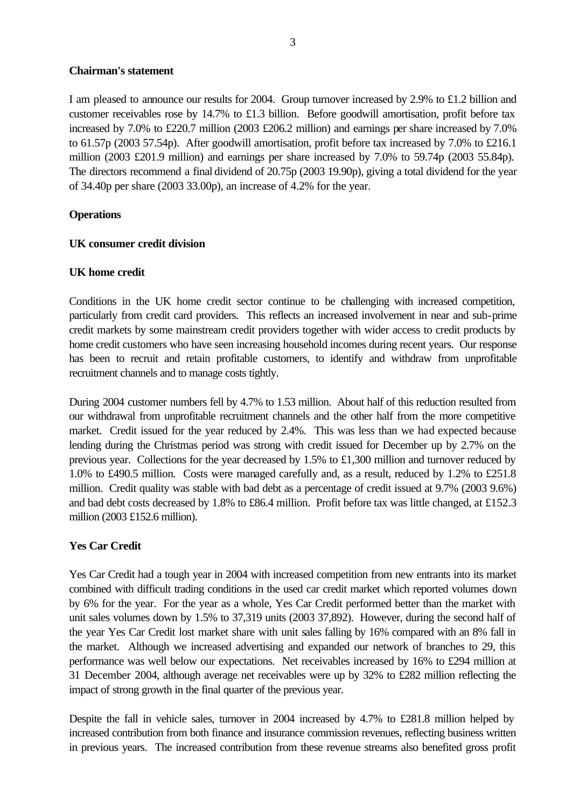### **Chairman's statement**

I am pleased to announce our results for 2004. Group turnover increased by 2.9% to £1.2 billion and customer receivables rose by 14.7% to £1.3 billion. Before goodwill amortisation, profit before tax increased by 7.0% to £220.7 million (2003 £206.2 million) and earnings per share increased by 7.0% to 61.57p (2003 57.54p). After goodwill amortisation, profit before tax increased by 7.0% to £216.1 million (2003 £201.9 million) and earnings per share increased by 7.0% to 59.74p (2003 55.84p). The directors recommend a final dividend of 20.75p (2003 19.90p), giving a total dividend for the year of 34.40p per share (2003 33.00p), an increase of 4.2% for the year.

### **Operations**

### **UK consumer credit division**

# **UK home credit**

Conditions in the UK home credit sector continue to be challenging with increased competition, particularly from credit card providers. This reflects an increased involvement in near and sub-prime credit markets by some mainstream credit providers together with wider access to credit products by home credit customers who have seen increasing household incomes during recent years. Our response has been to recruit and retain profitable customers, to identify and withdraw from unprofitable recruitment channels and to manage costs tightly.

During 2004 customer numbers fell by 4.7% to 1.53 million. About half of this reduction resulted from our withdrawal from unprofitable recruitment channels and the other half from the more competitive market. Credit issued for the year reduced by 2.4%. This was less than we had expected because lending during the Christmas period was strong with credit issued for December up by 2.7% on the previous year. Collections for the year decreased by 1.5% to £1,300 million and turnover reduced by 1.0% to £490.5 million. Costs were managed carefully and, as a result, reduced by 1.2% to £251.8 million. Credit quality was stable with bad debt as a percentage of credit issued at 9.7% (2003 9.6%) and bad debt costs decreased by 1.8% to £86.4 million. Profit before tax was little changed, at £152.3 million (2003 £152.6 million).

# **Yes Car Credit**

Yes Car Credit had a tough year in 2004 with increased competition from new entrants into its market combined with difficult trading conditions in the used car credit market which reported volumes down by 6% for the year. For the year as a whole, Yes Car Credit performed better than the market with unit sales volumes down by 1.5% to 37,319 units (2003 37,892). However, during the second half of the year Yes Car Credit lost market share with unit sales falling by 16% compared with an 8% fall in the market. Although we increased advertising and expanded our network of branches to 29, this performance was well below our expectations. Net receivables increased by 16% to £294 million at 31 December 2004, although average net receivables were up by 32% to £282 million reflecting the impact of strong growth in the final quarter of the previous year.

Despite the fall in vehicle sales, turnover in 2004 increased by 4.7% to £281.8 million helped by increased contribution from both finance and insurance commission revenues, reflecting business written in previous years. The increased contribution from these revenue streams also benefited gross profit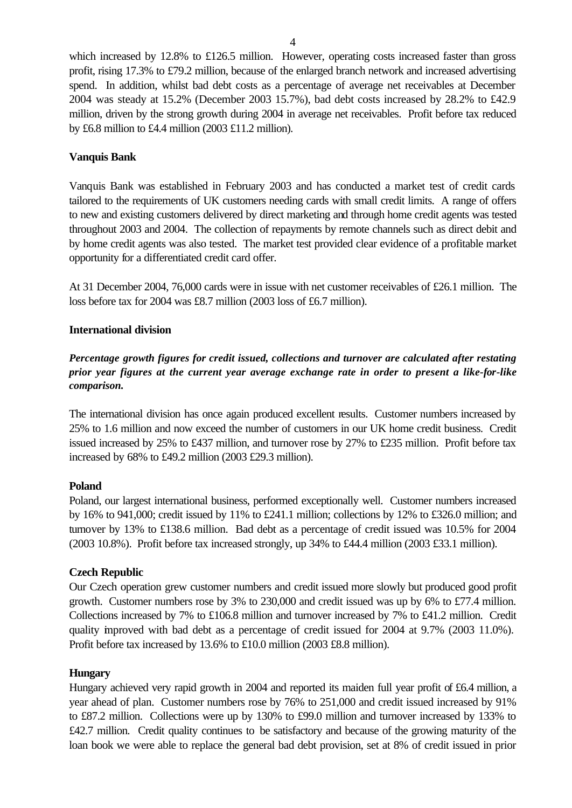which increased by 12.8% to £126.5 million. However, operating costs increased faster than gross profit, rising 17.3% to £79.2 million, because of the enlarged branch network and increased advertising spend. In addition, whilst bad debt costs as a percentage of average net receivables at December 2004 was steady at 15.2% (December 2003 15.7%), bad debt costs increased by 28.2% to £42.9 million, driven by the strong growth during 2004 in average net receivables. Profit before tax reduced by £6.8 million to £4.4 million (2003 £11.2 million).

# **Vanquis Bank**

Vanquis Bank was established in February 2003 and has conducted a market test of credit cards tailored to the requirements of UK customers needing cards with small credit limits. A range of offers to new and existing customers delivered by direct marketing and through home credit agents was tested throughout 2003 and 2004. The collection of repayments by remote channels such as direct debit and by home credit agents was also tested. The market test provided clear evidence of a profitable market opportunity for a differentiated credit card offer.

At 31 December 2004, 76,000 cards were in issue with net customer receivables of £26.1 million. The loss before tax for 2004 was £8.7 million (2003 loss of £6.7 million).

# **International division**

*Percentage growth figures for credit issued, collections and turnover are calculated after restating prior year figures at the current year average exchange rate in order to present a like-for-like comparison.*

The international division has once again produced excellent results. Customer numbers increased by 25% to 1.6 million and now exceed the number of customers in our UK home credit business. Credit issued increased by 25% to £437 million, and turnover rose by 27% to £235 million. Profit before tax increased by 68% to £49.2 million (2003 £29.3 million).

### **Poland**

Poland, our largest international business, performed exceptionally well. Customer numbers increased by 16% to 941,000; credit issued by 11% to £241.1 million; collections by 12% to £326.0 million; and turnover by 13% to £138.6 million. Bad debt as a percentage of credit issued was 10.5% for 2004 (2003 10.8%). Profit before tax increased strongly, up 34% to £44.4 million (2003 £33.1 million).

# **Czech Republic**

Our Czech operation grew customer numbers and credit issued more slowly but produced good profit growth. Customer numbers rose by 3% to 230,000 and credit issued was up by 6% to £77.4 million. Collections increased by 7% to £106.8 million and turnover increased by 7% to £41.2 million. Credit quality improved with bad debt as a percentage of credit issued for 2004 at 9.7% (2003 11.0%). Profit before tax increased by 13.6% to £10.0 million (2003 £8.8 million).

### **Hungary**

Hungary achieved very rapid growth in 2004 and reported its maiden full year profit of £6.4 million, a year ahead of plan. Customer numbers rose by 76% to 251,000 and credit issued increased by 91% to £87.2 million. Collections were up by 130% to £99.0 million and turnover increased by 133% to £42.7 million. Credit quality continues to be satisfactory and because of the growing maturity of the loan book we were able to replace the general bad debt provision, set at 8% of credit issued in prior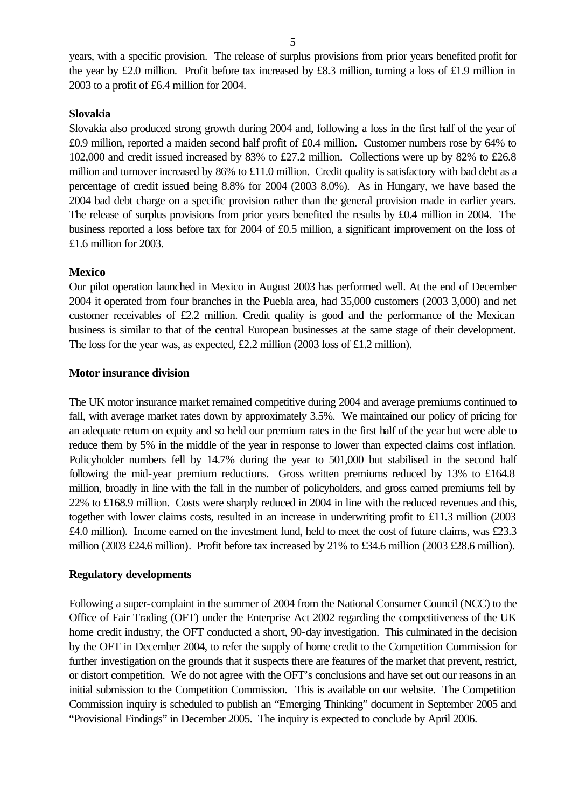years, with a specific provision. The release of surplus provisions from prior years benefited profit for the year by £2.0 million. Profit before tax increased by £8.3 million, turning a loss of £1.9 million in 2003 to a profit of £6.4 million for 2004.

#### **Slovakia**

Slovakia also produced strong growth during 2004 and, following a loss in the first half of the year of £0.9 million, reported a maiden second half profit of £0.4 million. Customer numbers rose by 64% to 102,000 and credit issued increased by 83% to £27.2 million. Collections were up by 82% to £26.8 million and turnover increased by 86% to £11.0 million. Credit quality is satisfactory with bad debt as a percentage of credit issued being 8.8% for 2004 (2003 8.0%). As in Hungary, we have based the 2004 bad debt charge on a specific provision rather than the general provision made in earlier years. The release of surplus provisions from prior years benefited the results by £0.4 million in 2004. The business reported a loss before tax for 2004 of £0.5 million, a significant improvement on the loss of £1.6 million for 2003.

#### **Mexico**

Our pilot operation launched in Mexico in August 2003 has performed well. At the end of December 2004 it operated from four branches in the Puebla area, had 35,000 customers (2003 3,000) and net customer receivables of £2.2 million. Credit quality is good and the performance of the Mexican business is similar to that of the central European businesses at the same stage of their development. The loss for the year was, as expected, £2.2 million (2003 loss of £1.2 million).

#### **Motor insurance division**

The UK motor insurance market remained competitive during 2004 and average premiums continued to fall, with average market rates down by approximately 3.5%. We maintained our policy of pricing for an adequate return on equity and so held our premium rates in the first half of the year but were able to reduce them by 5% in the middle of the year in response to lower than expected claims cost inflation. Policyholder numbers fell by 14.7% during the year to 501,000 but stabilised in the second half following the mid-year premium reductions. Gross written premiums reduced by 13% to £164.8 million, broadly in line with the fall in the number of policyholders, and gross earned premiums fell by 22% to £168.9 million. Costs were sharply reduced in 2004 in line with the reduced revenues and this, together with lower claims costs, resulted in an increase in underwriting profit to £11.3 million (2003 £4.0 million). Income earned on the investment fund, held to meet the cost of future claims, was £23.3 million (2003 £24.6 million). Profit before tax increased by 21% to £34.6 million (2003 £28.6 million).

#### **Regulatory developments**

Following a super-complaint in the summer of 2004 from the National Consumer Council (NCC) to the Office of Fair Trading (OFT) under the Enterprise Act 2002 regarding the competitiveness of the UK home credit industry, the OFT conducted a short, 90-day investigation. This culminated in the decision by the OFT in December 2004, to refer the supply of home credit to the Competition Commission for further investigation on the grounds that it suspects there are features of the market that prevent, restrict, or distort competition. We do not agree with the OFT's conclusions and have set out our reasons in an initial submission to the Competition Commission. This is available on our website. The Competition Commission inquiry is scheduled to publish an "Emerging Thinking" document in September 2005 and "Provisional Findings" in December 2005. The inquiry is expected to conclude by April 2006.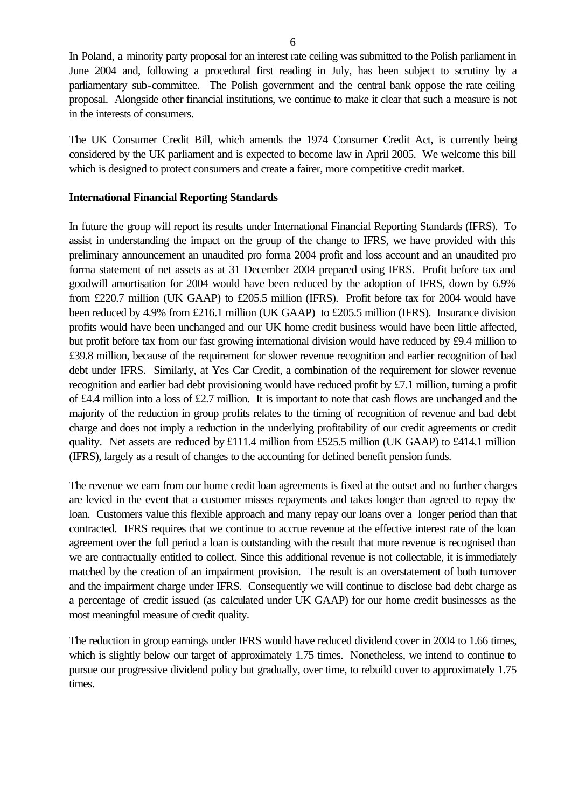In Poland, a minority party proposal for an interest rate ceiling was submitted to the Polish parliament in June 2004 and, following a procedural first reading in July, has been subject to scrutiny by a parliamentary sub-committee. The Polish government and the central bank oppose the rate ceiling proposal. Alongside other financial institutions, we continue to make it clear that such a measure is not in the interests of consumers.

The UK Consumer Credit Bill, which amends the 1974 Consumer Credit Act, is currently being considered by the UK parliament and is expected to become law in April 2005. We welcome this bill which is designed to protect consumers and create a fairer, more competitive credit market.

### **International Financial Reporting Standards**

In future the group will report its results under International Financial Reporting Standards (IFRS). To assist in understanding the impact on the group of the change to IFRS, we have provided with this preliminary announcement an unaudited pro forma 2004 profit and loss account and an unaudited pro forma statement of net assets as at 31 December 2004 prepared using IFRS. Profit before tax and goodwill amortisation for 2004 would have been reduced by the adoption of IFRS, down by 6.9% from £220.7 million (UK GAAP) to £205.5 million (IFRS). Profit before tax for 2004 would have been reduced by 4.9% from £216.1 million (UK GAAP) to £205.5 million (IFRS). Insurance division profits would have been unchanged and our UK home credit business would have been little affected, but profit before tax from our fast growing international division would have reduced by £9.4 million to £39.8 million, because of the requirement for slower revenue recognition and earlier recognition of bad debt under IFRS. Similarly, at Yes Car Credit, a combination of the requirement for slower revenue recognition and earlier bad debt provisioning would have reduced profit by £7.1 million, turning a profit of £4.4 million into a loss of £2.7 million. It is important to note that cash flows are unchanged and the majority of the reduction in group profits relates to the timing of recognition of revenue and bad debt charge and does not imply a reduction in the underlying profitability of our credit agreements or credit quality. Net assets are reduced by £111.4 million from £525.5 million (UK GAAP) to £414.1 million (IFRS), largely as a result of changes to the accounting for defined benefit pension funds.

The revenue we earn from our home credit loan agreements is fixed at the outset and no further charges are levied in the event that a customer misses repayments and takes longer than agreed to repay the loan. Customers value this flexible approach and many repay our loans over a longer period than that contracted. IFRS requires that we continue to accrue revenue at the effective interest rate of the loan agreement over the full period a loan is outstanding with the result that more revenue is recognised than we are contractually entitled to collect. Since this additional revenue is not collectable, it is immediately matched by the creation of an impairment provision. The result is an overstatement of both turnover and the impairment charge under IFRS. Consequently we will continue to disclose bad debt charge as a percentage of credit issued (as calculated under UK GAAP) for our home credit businesses as the most meaningful measure of credit quality.

The reduction in group earnings under IFRS would have reduced dividend cover in 2004 to 1.66 times, which is slightly below our target of approximately 1.75 times. Nonetheless, we intend to continue to pursue our progressive dividend policy but gradually, over time, to rebuild cover to approximately 1.75 times.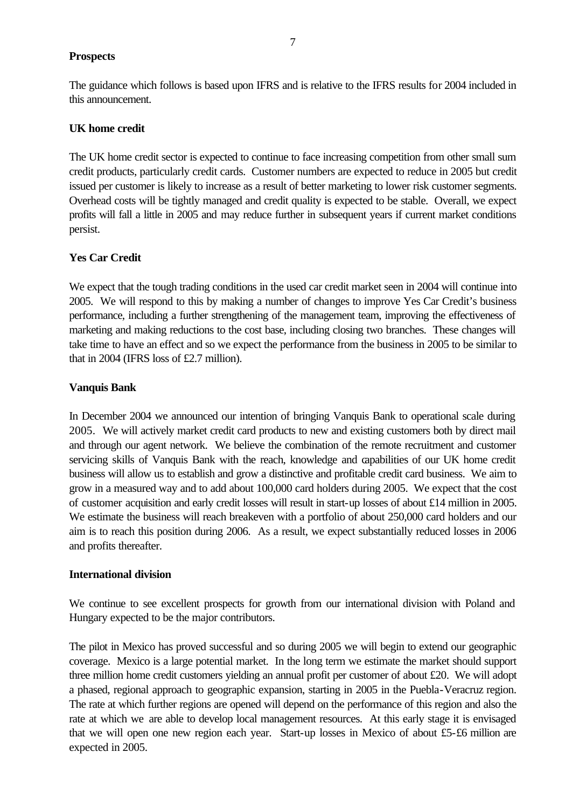### **Prospects**

The guidance which follows is based upon IFRS and is relative to the IFRS results for 2004 included in this announcement.

### **UK home credit**

The UK home credit sector is expected to continue to face increasing competition from other small sum credit products, particularly credit cards. Customer numbers are expected to reduce in 2005 but credit issued per customer is likely to increase as a result of better marketing to lower risk customer segments. Overhead costs will be tightly managed and credit quality is expected to be stable. Overall, we expect profits will fall a little in 2005 and may reduce further in subsequent years if current market conditions persist.

# **Yes Car Credit**

We expect that the tough trading conditions in the used car credit market seen in 2004 will continue into 2005. We will respond to this by making a number of changes to improve Yes Car Credit's business performance, including a further strengthening of the management team, improving the effectiveness of marketing and making reductions to the cost base, including closing two branches. These changes will take time to have an effect and so we expect the performance from the business in 2005 to be similar to that in 2004 (IFRS loss of £2.7 million).

# **Vanquis Bank**

In December 2004 we announced our intention of bringing Vanquis Bank to operational scale during 2005. We will actively market credit card products to new and existing customers both by direct mail and through our agent network. We believe the combination of the remote recruitment and customer servicing skills of Vanquis Bank with the reach, knowledge and capabilities of our UK home credit business will allow us to establish and grow a distinctive and profitable credit card business. We aim to grow in a measured way and to add about 100,000 card holders during 2005. We expect that the cost of customer acquisition and early credit losses will result in start-up losses of about £14 million in 2005. We estimate the business will reach breakeven with a portfolio of about 250,000 card holders and our aim is to reach this position during 2006. As a result, we expect substantially reduced losses in 2006 and profits thereafter.

### **International division**

We continue to see excellent prospects for growth from our international division with Poland and Hungary expected to be the major contributors.

The pilot in Mexico has proved successful and so during 2005 we will begin to extend our geographic coverage. Mexico is a large potential market. In the long term we estimate the market should support three million home credit customers yielding an annual profit per customer of about £20. We will adopt a phased, regional approach to geographic expansion, starting in 2005 in the Puebla-Veracruz region. The rate at which further regions are opened will depend on the performance of this region and also the rate at which we are able to develop local management resources. At this early stage it is envisaged that we will open one new region each year. Start-up losses in Mexico of about £5-£6 million are expected in 2005.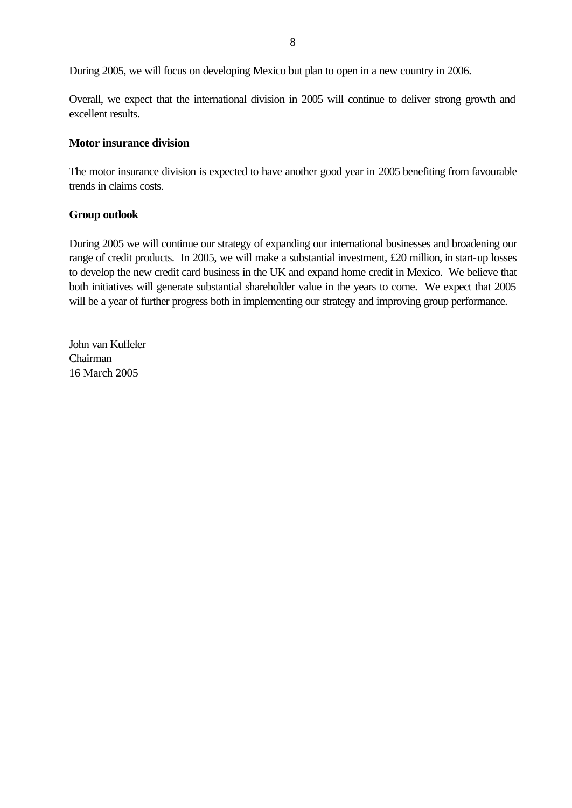During 2005, we will focus on developing Mexico but plan to open in a new country in 2006.

Overall, we expect that the international division in 2005 will continue to deliver strong growth and excellent results.

### **Motor insurance division**

The motor insurance division is expected to have another good year in 2005 benefiting from favourable trends in claims costs.

# **Group outlook**

During 2005 we will continue our strategy of expanding our international businesses and broadening our range of credit products. In 2005, we will make a substantial investment, £20 million, in start-up losses to develop the new credit card business in the UK and expand home credit in Mexico. We believe that both initiatives will generate substantial shareholder value in the years to come. We expect that 2005 will be a year of further progress both in implementing our strategy and improving group performance.

John van Kuffeler Chairman 16 March 2005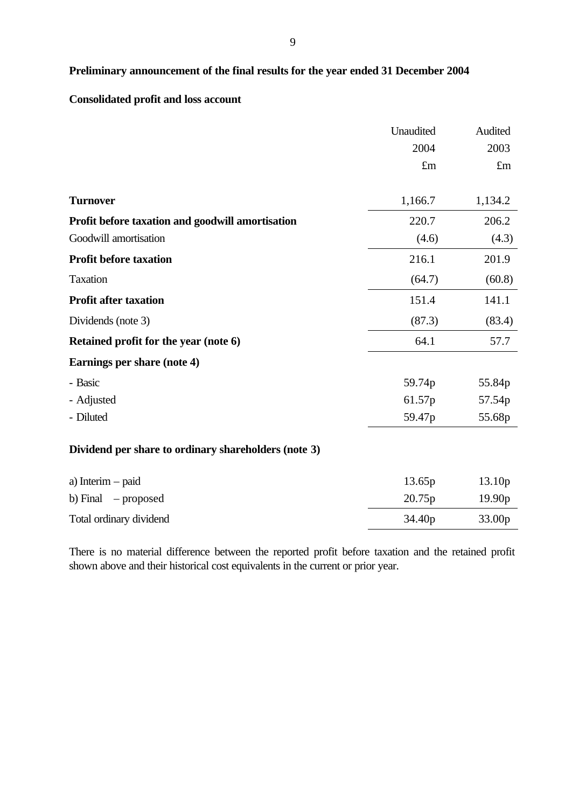# **Preliminary announcement of the final results for the year ended 31 December 2004**

# **Consolidated profit and loss account**

|                                                      | Unaudited          | Audited            |
|------------------------------------------------------|--------------------|--------------------|
|                                                      | 2004               | 2003               |
|                                                      | £m                 | $\pounds$ m        |
| <b>Turnover</b>                                      | 1,166.7            | 1,134.2            |
| Profit before taxation and goodwill amortisation     | 220.7              | 206.2              |
| Goodwill amortisation                                | (4.6)              | (4.3)              |
| <b>Profit before taxation</b>                        | 216.1              | 201.9              |
| <b>Taxation</b>                                      | (64.7)             | (60.8)             |
| <b>Profit after taxation</b>                         | 151.4              | 141.1              |
| Dividends (note 3)                                   | (87.3)             | (83.4)             |
| Retained profit for the year (note 6)                | 64.1               | 57.7               |
| Earnings per share (note 4)                          |                    |                    |
| - Basic                                              | 59.74p             | 55.84p             |
| - Adjusted                                           | 61.57p             | 57.54p             |
| - Diluted                                            | 59.47 <sub>p</sub> | 55.68p             |
| Dividend per share to ordinary shareholders (note 3) |                    |                    |
| a) Interim – paid                                    | 13.65p             | 13.10 <sub>p</sub> |
| b) Final $-$ proposed                                | 20.75p             | 19.90p             |
| Total ordinary dividend                              | 34.40 <sub>p</sub> | 33.00p             |

There is no material difference between the reported profit before taxation and the retained profit shown above and their historical cost equivalents in the current or prior year.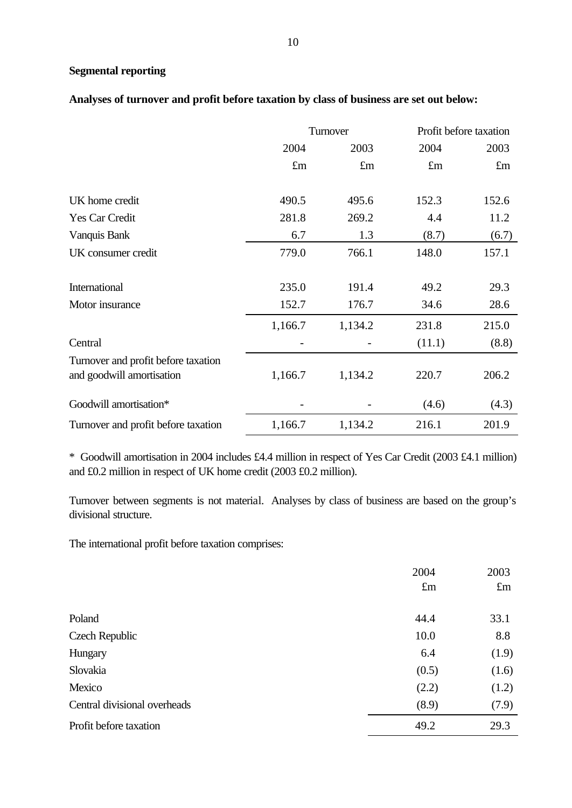# **Segmental reporting**

# **Analyses of turnover and profit before taxation by class of business are set out below:**

|                                                                  |             | Turnover    | Profit before taxation |             |
|------------------------------------------------------------------|-------------|-------------|------------------------|-------------|
|                                                                  | 2004        | 2003        | 2004                   | 2003        |
|                                                                  | $\pounds$ m | $\pounds$ m | $\pounds$ m            | $\pounds$ m |
| UK home credit                                                   | 490.5       | 495.6       | 152.3                  | 152.6       |
| Yes Car Credit                                                   | 281.8       | 269.2       | 4.4                    | 11.2        |
| Vanquis Bank                                                     | 6.7         | 1.3         | (8.7)                  | (6.7)       |
| UK consumer credit                                               | 779.0       | 766.1       | 148.0                  | 157.1       |
| International                                                    | 235.0       | 191.4       | 49.2                   | 29.3        |
| Motor insurance                                                  | 152.7       | 176.7       | 34.6                   | 28.6        |
|                                                                  | 1,166.7     | 1,134.2     | 231.8                  | 215.0       |
| Central                                                          |             |             | (11.1)                 | (8.8)       |
| Turnover and profit before taxation<br>and goodwill amortisation | 1,166.7     | 1,134.2     | 220.7                  | 206.2       |
| Goodwill amortisation*                                           |             |             | (4.6)                  | (4.3)       |
| Turnover and profit before taxation                              | 1,166.7     | 1,134.2     | 216.1                  | 201.9       |

\* Goodwill amortisation in 2004 includes £4.4 million in respect of Yes Car Credit (2003 £4.1 million) and £0.2 million in respect of UK home credit (2003 £0.2 million).

Turnover between segments is not material. Analyses by class of business are based on the group's divisional structure.

The international profit before taxation comprises:

|                              | 2004        | 2003        |
|------------------------------|-------------|-------------|
|                              | $\pounds$ m | $\pounds$ m |
|                              |             |             |
| Poland                       | 44.4        | 33.1        |
| Czech Republic               | 10.0        | 8.8         |
| Hungary                      | 6.4         | (1.9)       |
| Slovakia                     | (0.5)       | (1.6)       |
| Mexico                       | (2.2)       | (1.2)       |
| Central divisional overheads | (8.9)       | (7.9)       |
| Profit before taxation       | 49.2        | 29.3        |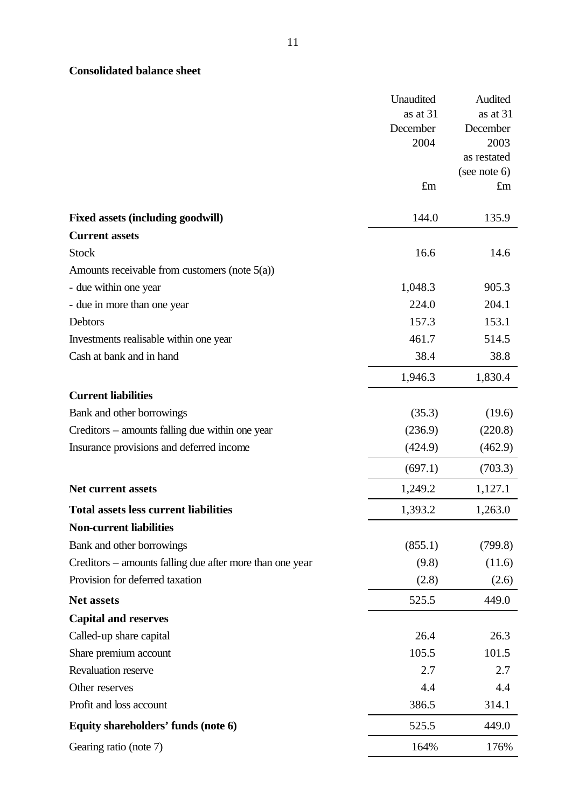# **Consolidated balance sheet**

|                                                          | Unaudited | Audited      |
|----------------------------------------------------------|-----------|--------------|
|                                                          | as at 31  | as at 31     |
|                                                          | December  | December     |
|                                                          | 2004      | 2003         |
|                                                          |           | as restated  |
|                                                          | £m        | (see note 6) |
|                                                          |           | $\pounds$ m  |
| <b>Fixed assets (including goodwill)</b>                 | 144.0     | 135.9        |
| <b>Current assets</b>                                    |           |              |
| <b>Stock</b>                                             | 16.6      | 14.6         |
| Amounts receivable from customers (note $5(a)$ )         |           |              |
| - due within one year                                    | 1,048.3   | 905.3        |
| - due in more than one year                              | 224.0     | 204.1        |
| Debtors                                                  | 157.3     | 153.1        |
| Investments realisable within one year                   | 461.7     | 514.5        |
| Cash at bank and in hand                                 | 38.4      | 38.8         |
|                                                          | 1,946.3   | 1,830.4      |
| <b>Current liabilities</b>                               |           |              |
| Bank and other borrowings                                | (35.3)    | (19.6)       |
| Creditors – amounts falling due within one year          | (236.9)   | (220.8)      |
| Insurance provisions and deferred income                 | (424.9)   | (462.9)      |
|                                                          | (697.1)   | (703.3)      |
| Net current assets                                       | 1,249.2   | 1,127.1      |
| <b>Total assets less current liabilities</b>             | 1,393.2   | 1,263.0      |
| <b>Non-current liabilities</b>                           |           |              |
| Bank and other borrowings                                | (855.1)   | (799.8)      |
| Creditors – amounts falling due after more than one year | (9.8)     | (11.6)       |
| Provision for deferred taxation                          | (2.8)     | (2.6)        |
| Net assets                                               | 525.5     | 449.0        |
| <b>Capital and reserves</b>                              |           |              |
| Called-up share capital                                  | 26.4      | 26.3         |
| Share premium account                                    | 105.5     | 101.5        |
| Revaluation reserve                                      | 2.7       | 2.7          |
| Other reserves                                           | 4.4       | 4.4          |
| Profit and loss account                                  | 386.5     | 314.1        |
| Equity shareholders' funds (note 6)                      | 525.5     | 449.0        |
| Gearing ratio (note 7)                                   | 164%      | 176%         |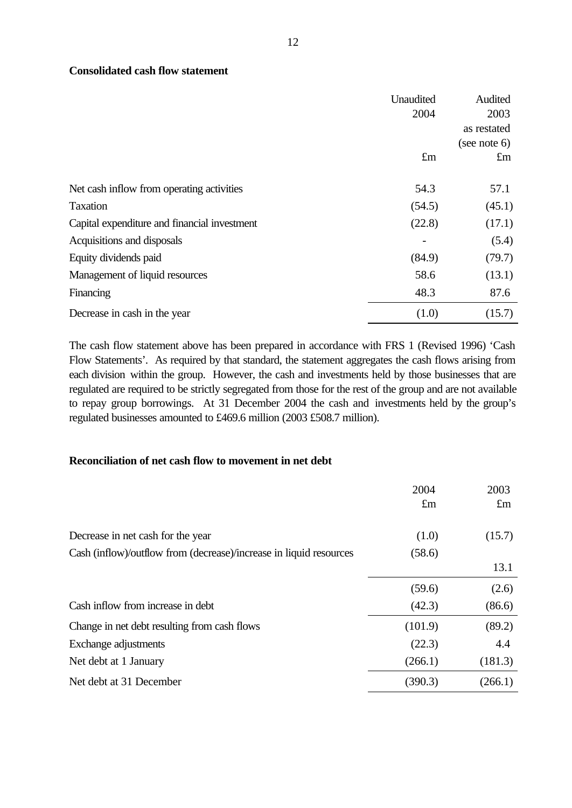### **Consolidated cash flow statement**

|                                              | Unaudited<br>2004 | Audited<br>2003 |
|----------------------------------------------|-------------------|-----------------|
|                                              |                   | as restated     |
|                                              |                   | (see note 6)    |
|                                              | $\pounds$ m       | $\pounds$ m     |
| Net cash inflow from operating activities    | 54.3              | 57.1            |
| <b>Taxation</b>                              | (54.5)            | (45.1)          |
| Capital expenditure and financial investment | (22.8)            | (17.1)          |
| Acquisitions and disposals                   |                   | (5.4)           |
| Equity dividends paid                        | (84.9)            | (79.7)          |
| Management of liquid resources               | 58.6              | (13.1)          |
| Financing                                    | 48.3              | 87.6            |
| Decrease in cash in the year                 | (1.0)             | (15.7)          |

The cash flow statement above has been prepared in accordance with FRS 1 (Revised 1996) 'Cash Flow Statements'. As required by that standard, the statement aggregates the cash flows arising from each division within the group. However, the cash and investments held by those businesses that are regulated are required to be strictly segregated from those for the rest of the group and are not available to repay group borrowings. At 31 December 2004 the cash and investments held by the group's regulated businesses amounted to £469.6 million (2003 £508.7 million).

### **Reconciliation of net cash flow to movement in net debt**

|                                                                    | 2004<br>$\pounds$ m | 2003<br>$\pounds$ m |
|--------------------------------------------------------------------|---------------------|---------------------|
|                                                                    |                     |                     |
| Decrease in net cash for the year                                  | (1.0)               | (15.7)              |
| Cash (inflow)/outflow from (decrease)/increase in liquid resources | (58.6)              |                     |
|                                                                    |                     | 13.1                |
|                                                                    | (59.6)              | (2.6)               |
| Cash inflow from increase in debt                                  | (42.3)              | (86.6)              |
| Change in net debt resulting from cash flows                       | (101.9)             | (89.2)              |
| Exchange adjustments                                               | (22.3)              | 4.4                 |
| Net debt at 1 January                                              | (266.1)             | (181.3)             |
| Net debt at 31 December                                            | (390.3)             | (266.1)             |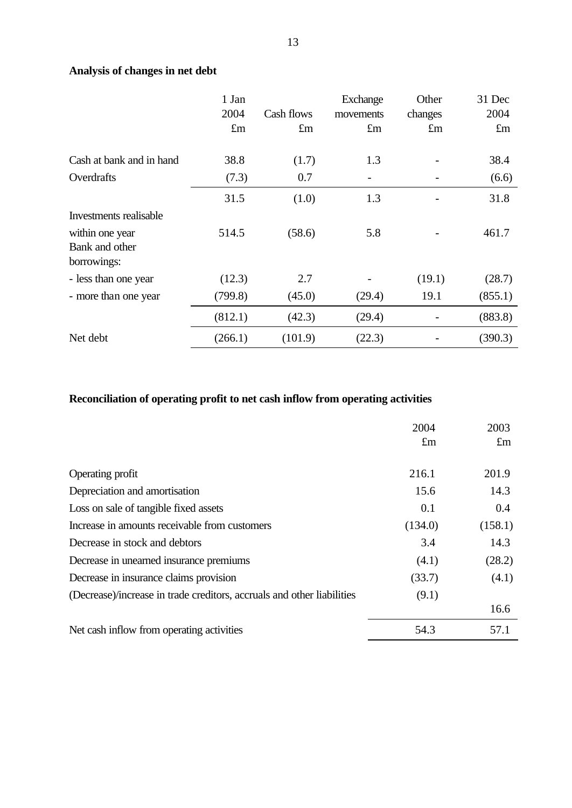# **Analysis of changes in net debt**

|                          | 1 Jan       |             | <b>Exchange</b> | Other       | 31 Dec      |
|--------------------------|-------------|-------------|-----------------|-------------|-------------|
|                          | 2004        | Cash flows  | movements       | changes     | 2004        |
|                          | $\pounds$ m | $\pounds$ m | $\pounds$ m     | $\pounds$ m | $\pounds$ m |
| Cash at bank and in hand | 38.8        | (1.7)       | 1.3             |             | 38.4        |
| Overdrafts               | (7.3)       | 0.7         |                 |             | (6.6)       |
|                          | 31.5        | (1.0)       | 1.3             |             | 31.8        |
| Investments realisable   |             |             |                 |             |             |
| within one year          | 514.5       | (58.6)      | 5.8             |             | 461.7       |
| Bank and other           |             |             |                 |             |             |
| borrowings:              |             |             |                 |             |             |
| - less than one year     | (12.3)      | 2.7         |                 | (19.1)      | (28.7)      |
| - more than one year     | (799.8)     | (45.0)      | (29.4)          | 19.1        | (855.1)     |
|                          | (812.1)     | (42.3)      | (29.4)          |             | (883.8)     |
| Net debt                 | (266.1)     | (101.9)     | (22.3)          |             | (390.3)     |

# **Reconciliation of operating profit to net cash inflow from operating activities**

|                                                                        | 2004        | 2003        |
|------------------------------------------------------------------------|-------------|-------------|
|                                                                        | $\pounds$ m | $\pounds$ m |
|                                                                        |             |             |
| Operating profit                                                       | 216.1       | 201.9       |
| Depreciation and amortisation                                          | 15.6        | 14.3        |
| Loss on sale of tangible fixed assets                                  | 0.1         | 0.4         |
| Increase in amounts receivable from customers                          | (134.0)     | (158.1)     |
| Decrease in stock and debtors                                          | 3.4         | 14.3        |
| Decrease in unearned insurance premiums                                | (4.1)       | (28.2)      |
| Decrease in insurance claims provision                                 | (33.7)      | (4.1)       |
| (Decrease)/increase in trade creditors, accruals and other liabilities | (9.1)       |             |
|                                                                        |             | 16.6        |
| Net cash inflow from operating activities                              | 54.3        | 57.1        |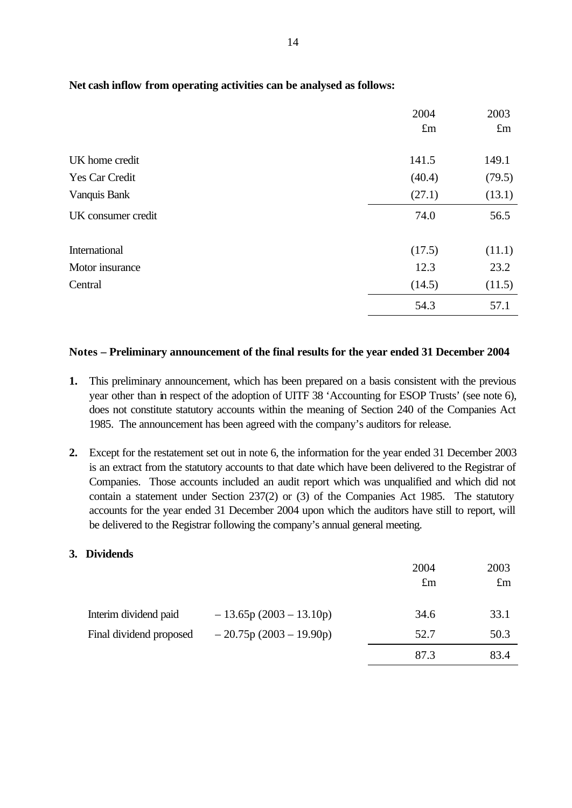|                    | 2004        | 2003        |
|--------------------|-------------|-------------|
|                    | $\pounds$ m | $\pounds$ m |
| UK home credit     | 141.5       | 149.1       |
|                    |             |             |
| Yes Car Credit     | (40.4)      | (79.5)      |
| Vanquis Bank       | (27.1)      | (13.1)      |
| UK consumer credit | 74.0        | 56.5        |
| International      | (17.5)      | (11.1)      |
| Motor insurance    | 12.3        | 23.2        |
| Central            | (14.5)      | (11.5)      |
|                    | 54.3        | 57.1        |

# **Net cash inflow from operating activities can be analysed as follows:**

### **Notes – Preliminary announcement of the final results for the year ended 31 December 2004**

- **1.** This preliminary announcement, which has been prepared on a basis consistent with the previous year other than in respect of the adoption of UITF 38 'Accounting for ESOP Trusts' (see note 6), does not constitute statutory accounts within the meaning of Section 240 of the Companies Act 1985. The announcement has been agreed with the company's auditors for release.
- **2.** Except for the restatement set out in note 6, the information for the year ended 31 December 2003 is an extract from the statutory accounts to that date which have been delivered to the Registrar of Companies. Those accounts included an audit report which was unqualified and which did not contain a statement under Section 237(2) or (3) of the Companies Act 1985. The statutory accounts for the year ended 31 December 2004 upon which the auditors have still to report, will be delivered to the Registrar following the company's annual general meeting.

### **3. Dividends**

|                                                  |                                                  | 2004<br>$\pounds$ m | 2003<br>$\pounds$ m |
|--------------------------------------------------|--------------------------------------------------|---------------------|---------------------|
| Interim dividend paid<br>Final dividend proposed | $-13.65p(2003-13.10p)$<br>$-20.75p(2003-19.90p)$ | 34.6<br>52.7        | 33.1<br>50.3        |
|                                                  |                                                  | 87.3                | 83.4                |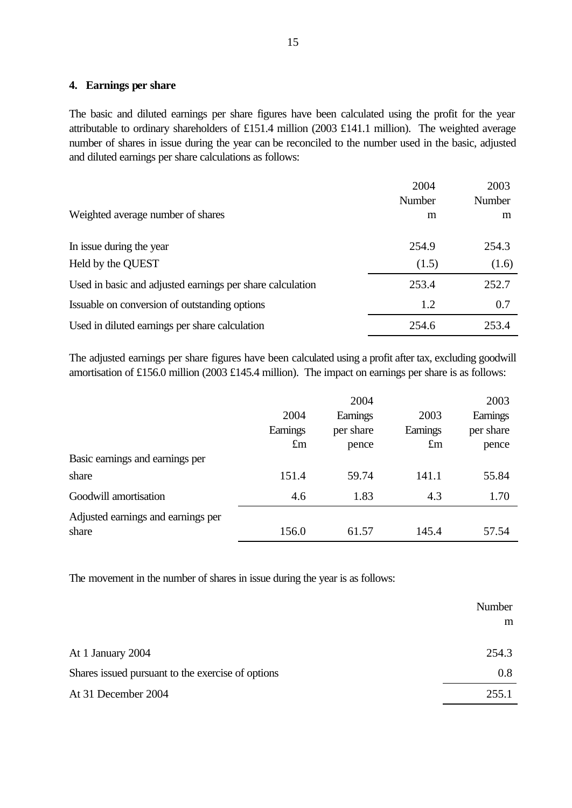### **4. Earnings per share**

The basic and diluted earnings per share figures have been calculated using the profit for the year attributable to ordinary shareholders of £151.4 million (2003 £141.1 million). The weighted average number of shares in issue during the year can be reconciled to the number used in the basic, adjusted and diluted earnings per share calculations as follows:

|                                                           | 2004   | 2003   |
|-----------------------------------------------------------|--------|--------|
|                                                           | Number | Number |
| Weighted average number of shares                         | m      | m      |
|                                                           |        |        |
| In issue during the year                                  | 254.9  | 254.3  |
| Held by the QUEST                                         | (1.5)  | (1.6)  |
| Used in basic and adjusted earnings per share calculation | 253.4  | 252.7  |
| Issuable on conversion of outstanding options             | 1.2    | 0.7    |
| Used in diluted earnings per share calculation            | 254.6  | 253.4  |

The adjusted earnings per share figures have been calculated using a profit after tax, excluding goodwill amortisation of £156.0 million (2003 £145.4 million). The impact on earnings per share is as follows:

|                                             |             | 2004      |             | 2003      |
|---------------------------------------------|-------------|-----------|-------------|-----------|
|                                             | 2004        | Earnings  | 2003        | Earnings  |
|                                             | Earnings    | per share | Earnings    | per share |
|                                             | $\pounds$ m | pence     | $\pounds$ m | pence     |
| Basic earnings and earnings per             |             |           |             |           |
| share                                       | 151.4       | 59.74     | 141.1       | 55.84     |
| Goodwill amortisation                       | 4.6         | 1.83      | 4.3         | 1.70      |
| Adjusted earnings and earnings per<br>share | 156.0       | 61.57     | 145.4       | 57.54     |
|                                             |             |           |             |           |

The movement in the number of shares in issue during the year is as follows:

|                                                   | Number |
|---------------------------------------------------|--------|
|                                                   | m      |
|                                                   |        |
| At 1 January 2004                                 | 254.3  |
| Shares issued pursuant to the exercise of options | 0.8    |
| At 31 December 2004                               | 255.1  |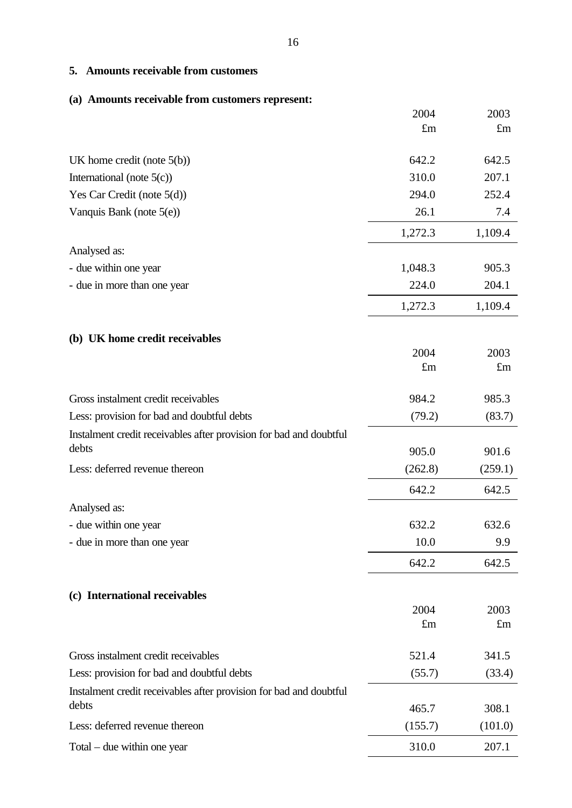# **5. Amounts receivable from customers**

# **(a) Amounts receivable from customers represent:**

|                                                                    | 2004        | 2003        |
|--------------------------------------------------------------------|-------------|-------------|
|                                                                    | $\pounds$ m | $\pounds$ m |
| UK home credit (note $5(b)$ )                                      | 642.2       | 642.5       |
| International (note $5(c)$ )                                       | 310.0       | 207.1       |
| Yes Car Credit (note $5(d)$ )                                      | 294.0       | 252.4       |
| Vanquis Bank (note 5(e))                                           | 26.1        | 7.4         |
|                                                                    | 1,272.3     | 1,109.4     |
| Analysed as:                                                       |             |             |
| - due within one year                                              | 1,048.3     | 905.3       |
| - due in more than one year                                        | 224.0       | 204.1       |
|                                                                    | 1,272.3     | 1,109.4     |
| (b) UK home credit receivables                                     |             |             |
|                                                                    | 2004        | 2003        |
|                                                                    | $\pounds$ m | $\pounds$ m |
| Gross instalment credit receivables                                | 984.2       | 985.3       |
| Less: provision for bad and doubtful debts                         | (79.2)      | (83.7)      |
| Instalment credit receivables after provision for bad and doubtful |             |             |
| debts                                                              | 905.0       | 901.6       |
| Less: deferred revenue thereon                                     | (262.8)     | (259.1)     |
|                                                                    | 642.2       | 642.5       |
| Analysed as:                                                       |             |             |
| - due within one year                                              | 632.2       | 632.6       |
| - due in more than one year                                        | 10.0        | 9.9         |
|                                                                    | 642.2       | 642.5       |
| (c) International receivables                                      |             |             |
|                                                                    | 2004        | 2003        |
|                                                                    | $\pounds$ m | $\pounds$ m |
| Gross instalment credit receivables                                | 521.4       | 341.5       |
| Less: provision for bad and doubtful debts                         | (55.7)      | (33.4)      |
| Instalment credit receivables after provision for bad and doubtful |             |             |
| debts                                                              | 465.7       | 308.1       |
| Less: deferred revenue thereon                                     | (155.7)     | (101.0)     |
| $Total$ – due within one year                                      | 310.0       | 207.1       |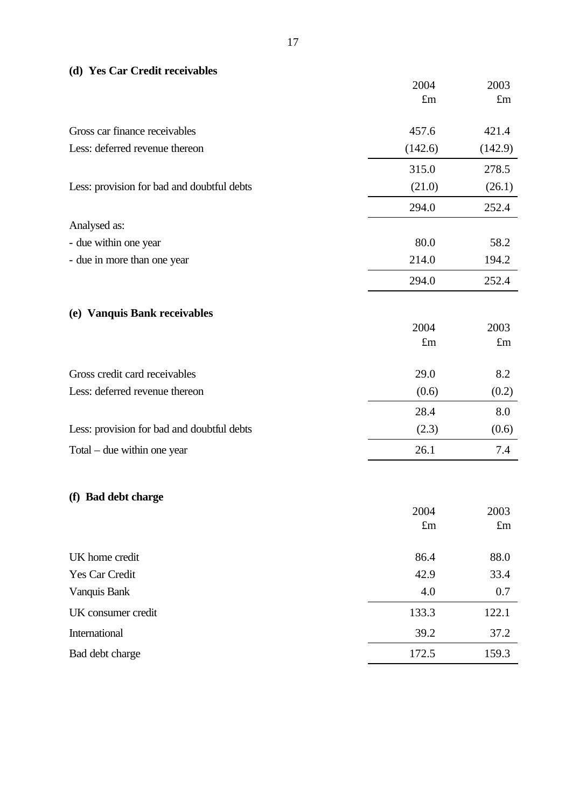| (d) Yes Car Credit receivables |  |
|--------------------------------|--|
|--------------------------------|--|

|                                            | 2004        | 2003        |
|--------------------------------------------|-------------|-------------|
|                                            | $\pounds$ m | $\pounds$ m |
| Gross car finance receivables              | 457.6       | 421.4       |
| Less: deferred revenue thereon             | (142.6)     | (142.9)     |
|                                            | 315.0       | 278.5       |
| Less: provision for bad and doubtful debts | (21.0)      | (26.1)      |
|                                            | 294.0       | 252.4       |
| Analysed as:                               |             |             |
| - due within one year                      | 80.0        | 58.2        |
| - due in more than one year                | 214.0       | 194.2       |
|                                            | 294.0       | 252.4       |
|                                            |             |             |
| (e) Vanquis Bank receivables               | 2004        | 2003        |
|                                            | $\pounds$ m | $\pounds$ m |
| Gross credit card receivables              | 29.0        | 8.2         |
| Less: deferred revenue thereon             | (0.6)       | (0.2)       |
|                                            | 28.4        | 8.0         |
| Less: provision for bad and doubtful debts | (2.3)       | (0.6)       |
| $Total$ – due within one year              | 26.1        | 7.4         |
|                                            |             |             |
| (f) Bad debt charge                        |             |             |
|                                            | 2004        | 2003        |
|                                            | $\pounds$ m | $\pounds$ m |
| UK home credit                             | 86.4        | 88.0        |
| Yes Car Credit                             | 42.9        | 33.4        |
| Vanquis Bank                               | 4.0         | 0.7         |
| UK consumer credit                         | 133.3       | 122.1       |
| International                              | 39.2        | 37.2        |

Bad debt charge 172.5 159.3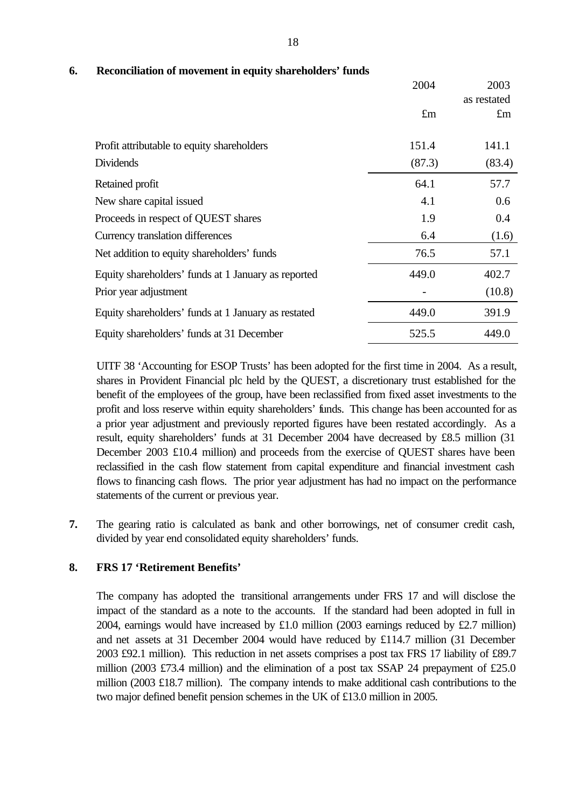|                                                     | 2004        | 2003<br>as restated |
|-----------------------------------------------------|-------------|---------------------|
|                                                     | $\pounds$ m | $\pounds$ m         |
| Profit attributable to equity shareholders          | 151.4       | 141.1               |
| <b>Dividends</b>                                    | (87.3)      | (83.4)              |
| Retained profit                                     | 64.1        | 57.7                |
| New share capital issued                            | 4.1         | 0.6                 |
| Proceeds in respect of QUEST shares                 | 1.9         | 0.4                 |
| Currency translation differences                    | 6.4         | (1.6)               |
| Net addition to equity shareholders' funds          | 76.5        | 57.1                |
| Equity shareholders' funds at 1 January as reported | 449.0       | 402.7               |
| Prior year adjustment                               |             | (10.8)              |
| Equity shareholders' funds at 1 January as restated | 449.0       | 391.9               |
| Equity shareholders' funds at 31 December           | 525.5       | 449.0               |

# **6. Reconciliation of movement in equity shareholders' funds**

UITF 38 'Accounting for ESOP Trusts' has been adopted for the first time in 2004. As a result, shares in Provident Financial plc held by the QUEST, a discretionary trust established for the benefit of the employees of the group, have been reclassified from fixed asset investments to the profit and loss reserve within equity shareholders' funds. This change has been accounted for as a prior year adjustment and previously reported figures have been restated accordingly. As a result, equity shareholders' funds at 31 December 2004 have decreased by £8.5 million (31 December 2003 £10.4 million) and proceeds from the exercise of QUEST shares have been reclassified in the cash flow statement from capital expenditure and financial investment cash flows to financing cash flows. The prior year adjustment has had no impact on the performance statements of the current or previous year.

**7.** The gearing ratio is calculated as bank and other borrowings, net of consumer credit cash, divided by year end consolidated equity shareholders' funds.

### **8. FRS 17 'Retirement Benefits'**

The company has adopted the transitional arrangements under FRS 17 and will disclose the impact of the standard as a note to the accounts. If the standard had been adopted in full in 2004, earnings would have increased by £1.0 million (2003 earnings reduced by £2.7 million) and net assets at 31 December 2004 would have reduced by £114.7 million (31 December 2003 £92.1 million). This reduction in net assets comprises a post tax FRS 17 liability of £89.7 million (2003 £73.4 million) and the elimination of a post tax SSAP 24 prepayment of £25.0 million (2003 £18.7 million). The company intends to make additional cash contributions to the two major defined benefit pension schemes in the UK of £13.0 million in 2005.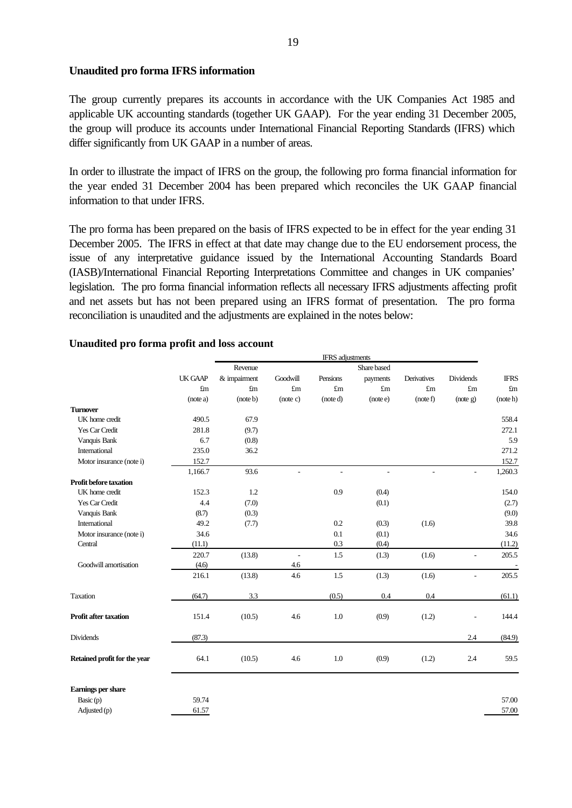### **Unaudited pro forma IFRS information**

The group currently prepares its accounts in accordance with the UK Companies Act 1985 and applicable UK accounting standards (together UK GAAP). For the year ending 31 December 2005, the group will produce its accounts under International Financial Reporting Standards (IFRS) which differ significantly from UK GAAP in a number of areas.

In order to illustrate the impact of IFRS on the group, the following pro forma financial information for the year ended 31 December 2004 has been prepared which reconciles the UK GAAP financial information to that under IFRS.

The pro forma has been prepared on the basis of IFRS expected to be in effect for the year ending 31 December 2005. The IFRS in effect at that date may change due to the EU endorsement process, the issue of any interpretative guidance issued by the International Accounting Standards Board (IASB)/International Financial Reporting Interpretations Committee and changes in UK companies' legislation. The pro forma financial information reflects all necessary IFRS adjustments affecting profit and net assets but has not been prepared using an IFRS format of presentation. The pro forma reconciliation is unaudited and the adjustments are explained in the notes below:

|                               |                |              |             | <b>IFRS</b> adjustments |                |             |                |                |
|-------------------------------|----------------|--------------|-------------|-------------------------|----------------|-------------|----------------|----------------|
|                               |                | Revenue      |             |                         | Share based    |             |                |                |
|                               | <b>UK GAAP</b> | & impairment | Goodwill    | Pensions                | payments       | Derivatives | Dividends      | <b>IFRS</b>    |
|                               | £m             | $\pmb{f}$ m  | $\pounds$ m | $\pounds$ m             | $\pounds$ m    | $\pounds$ m | $\pounds$ m    | $\mathbf{f}$ m |
|                               | (note a)       | (note b)     | (note c)    | (note d)                | (note e)       | (note f)    | (note g)       | (note h)       |
| <b>Turnover</b>               |                |              |             |                         |                |             |                |                |
| UK home credit                | 490.5          | 67.9         |             |                         |                |             |                | 558.4          |
| Yes Car Credit                | 281.8          | (9.7)        |             |                         |                |             |                | 272.1          |
| Vanquis Bank                  | 6.7            | (0.8)        |             |                         |                |             |                | 5.9            |
| International                 | 235.0          | 36.2         |             |                         |                |             |                | 271.2          |
| Motor insurance (note i)      | 152.7          |              |             |                         |                |             |                | 152.7          |
|                               | 1,166.7        | 93.6         |             | Ē,                      | $\overline{a}$ |             | $\blacksquare$ | 1,260.3        |
| <b>Profit before taxation</b> |                |              |             |                         |                |             |                |                |
| UK home credit                | 152.3          | 1.2          |             | 0.9                     | (0.4)          |             |                | 154.0          |
| Yes Car Credit                | 4.4            | (7.0)        |             |                         | (0.1)          |             |                | (2.7)          |
| Vanquis Bank                  | (8.7)          | (0.3)        |             |                         |                |             |                | (9.0)          |
| International                 | 49.2           | (7.7)        |             | 0.2                     | (0.3)          | (1.6)       |                | 39.8           |
| Motor insurance (note i)      | 34.6           |              |             | 0.1                     | (0.1)          |             |                | 34.6           |
| Central                       | (11.1)         |              |             | 0.3                     | (0.4)          |             |                | (11.2)         |
|                               | 220.7          | (13.8)       | $\sim$      | 1.5                     | (1.3)          | (1.6)       | ÷              | 205.5          |
| Goodwill amortisation         | (4.6)          |              | 4.6         |                         |                |             |                |                |
|                               | 216.1          | (13.8)       | 4.6         | 1.5                     | (1.3)          | (1.6)       | $\overline{a}$ | 205.5          |
| Taxation                      | (64.7)         | 3.3          |             | (0.5)                   | 0.4            | 0.4         |                | (61.1)         |
| Profit after taxation         | 151.4          | (10.5)       | 4.6         | 1.0                     | (0.9)          | (1.2)       |                | 144.4          |
| <b>Dividends</b>              | (87.3)         |              |             |                         |                |             | 2.4            | (84.9)         |
| Retained profit for the year  | 64.1           | (10.5)       | 4.6         | 1.0                     | (0.9)          | (1.2)       | 2.4            | 59.5           |
| Earnings per share            |                |              |             |                         |                |             |                |                |
| Basic (p)                     | 59.74          |              |             |                         |                |             |                | 57.00          |
| Adjusted (p)                  | 61.57          |              |             |                         |                |             |                | 57.00          |

### **Unaudited pro forma profit and loss account**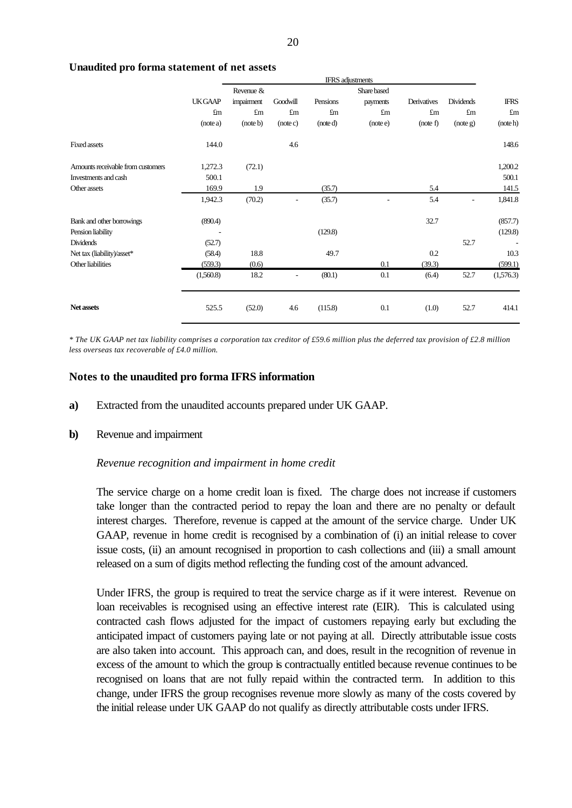|                     | <b>IFRS</b> adjustments |                |                |             |             |                  |             |
|---------------------|-------------------------|----------------|----------------|-------------|-------------|------------------|-------------|
|                     | Revenue &               |                |                | Share based |             |                  |             |
| <b>UKGAAP</b>       | impairment              | Goodwill       | Pensions       | payments    | Derivatives | <b>Dividends</b> | <b>IFRS</b> |
| $\operatorname{fm}$ | $\pounds$ m             | $\pounds$ m    | $\mathbf{f}$ m | $\pounds$ m | $\pounds$ m | $\pounds$ m      | $\pounds$ m |
| (note a)            | (note b)                | (note c)       | (note d)       | (note e)    | (note f)    | (note g)         | (note h)    |
| 144.0               |                         | 4.6            |                |             |             |                  | 148.6       |
| 1,272.3             | (72.1)                  |                |                |             |             |                  | 1,200.2     |
| 500.1               |                         |                |                |             |             |                  | 500.1       |
| 169.9               | 1.9                     |                | (35.7)         |             | 5.4         |                  | 141.5       |
| 1,942.3             | (70.2)                  | $\overline{a}$ | (35.7)         | ٠           | 5.4         |                  | 1,841.8     |
| (890.4)             |                         |                |                |             | 32.7        |                  | (857.7)     |
|                     |                         |                | (129.8)        |             |             |                  | (129.8)     |
| (52.7)              |                         |                |                |             |             | 52.7             |             |
| (58.4)              | 18.8                    |                | 49.7           |             | 0.2         |                  | 10.3        |
| (559.3)             | (0.6)                   |                |                | 0.1         | (39.3)      |                  | (599.1)     |
| (1,560.8)           | 18.2                    | ÷,             | (80.1)         | 0.1         | (6.4)       | 52.7             | (1,576.3)   |
| 525.5               | (52.0)                  | 4.6            | (115.8)        | 0.1         | (1.0)       | 52.7             | 414.1       |
|                     |                         |                |                |             |             |                  |             |

#### **Unaudited pro forma statement of net assets**

*\* The UK GAAP net tax liability comprises a corporation tax creditor of £59.6 million plus the deferred tax provision of £2.8 million less overseas tax recoverable of £4.0 million.*

### **Notes to the unaudited pro forma IFRS information**

- **a)** Extracted from the unaudited accounts prepared under UK GAAP.
- **b)** Revenue and impairment

#### *Revenue recognition and impairment in home credit*

The service charge on a home credit loan is fixed. The charge does not increase if customers take longer than the contracted period to repay the loan and there are no penalty or default interest charges. Therefore, revenue is capped at the amount of the service charge. Under UK GAAP, revenue in home credit is recognised by a combination of (i) an initial release to cover issue costs, (ii) an amount recognised in proportion to cash collections and (iii) a small amount released on a sum of digits method reflecting the funding cost of the amount advanced.

Under IFRS, the group is required to treat the service charge as if it were interest. Revenue on loan receivables is recognised using an effective interest rate (EIR). This is calculated using contracted cash flows adjusted for the impact of customers repaying early but excluding the anticipated impact of customers paying late or not paying at all. Directly attributable issue costs are also taken into account. This approach can, and does, result in the recognition of revenue in excess of the amount to which the group is contractually entitled because revenue continues to be recognised on loans that are not fully repaid within the contracted term. In addition to this change, under IFRS the group recognises revenue more slowly as many of the costs covered by the initial release under UK GAAP do not qualify as directly attributable costs under IFRS.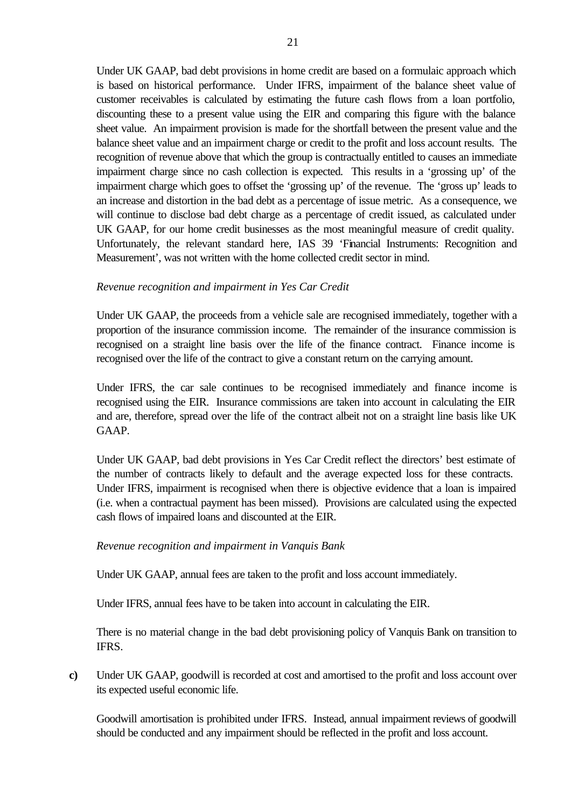Under UK GAAP, bad debt provisions in home credit are based on a formulaic approach which is based on historical performance. Under IFRS, impairment of the balance sheet value of customer receivables is calculated by estimating the future cash flows from a loan portfolio, discounting these to a present value using the EIR and comparing this figure with the balance sheet value. An impairment provision is made for the shortfall between the present value and the balance sheet value and an impairment charge or credit to the profit and loss account results. The recognition of revenue above that which the group is contractually entitled to causes an immediate impairment charge since no cash collection is expected. This results in a 'grossing up' of the impairment charge which goes to offset the 'grossing up' of the revenue. The 'gross up' leads to an increase and distortion in the bad debt as a percentage of issue metric. As a consequence, we will continue to disclose bad debt charge as a percentage of credit issued, as calculated under UK GAAP, for our home credit businesses as the most meaningful measure of credit quality. Unfortunately, the relevant standard here, IAS 39 'Financial Instruments: Recognition and Measurement', was not written with the home collected credit sector in mind.

### *Revenue recognition and impairment in Yes Car Credit*

Under UK GAAP, the proceeds from a vehicle sale are recognised immediately, together with a proportion of the insurance commission income. The remainder of the insurance commission is recognised on a straight line basis over the life of the finance contract. Finance income is recognised over the life of the contract to give a constant return on the carrying amount.

Under IFRS, the car sale continues to be recognised immediately and finance income is recognised using the EIR. Insurance commissions are taken into account in calculating the EIR and are, therefore, spread over the life of the contract albeit not on a straight line basis like UK GAAP.

Under UK GAAP, bad debt provisions in Yes Car Credit reflect the directors' best estimate of the number of contracts likely to default and the average expected loss for these contracts. Under IFRS, impairment is recognised when there is objective evidence that a loan is impaired (i.e. when a contractual payment has been missed). Provisions are calculated using the expected cash flows of impaired loans and discounted at the EIR.

#### *Revenue recognition and impairment in Vanquis Bank*

Under UK GAAP, annual fees are taken to the profit and loss account immediately.

Under IFRS, annual fees have to be taken into account in calculating the EIR.

There is no material change in the bad debt provisioning policy of Vanquis Bank on transition to IFRS.

**c)** Under UK GAAP, goodwill is recorded at cost and amortised to the profit and loss account over its expected useful economic life.

Goodwill amortisation is prohibited under IFRS. Instead, annual impairment reviews of goodwill should be conducted and any impairment should be reflected in the profit and loss account.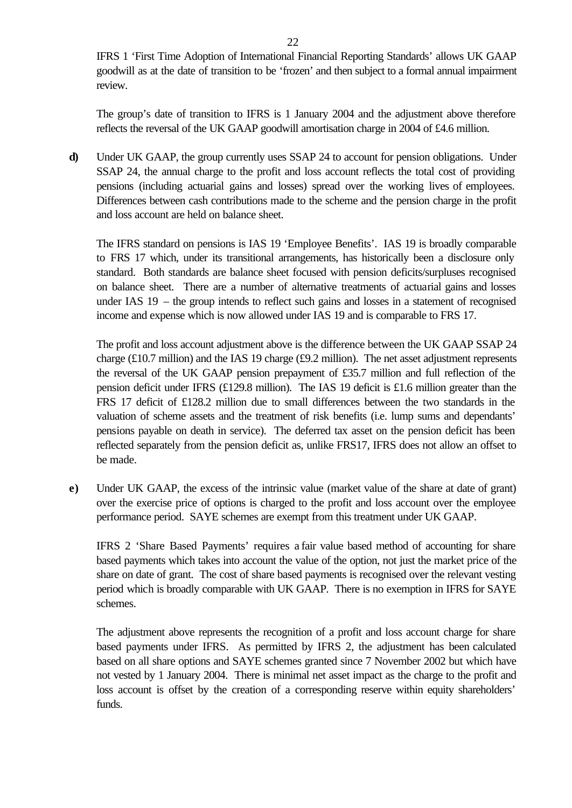IFRS 1 'First Time Adoption of International Financial Reporting Standards' allows UK GAAP goodwill as at the date of transition to be 'frozen' and then subject to a formal annual impairment review.

The group's date of transition to IFRS is 1 January 2004 and the adjustment above therefore reflects the reversal of the UK GAAP goodwill amortisation charge in 2004 of £4.6 million.

**d)** Under UK GAAP, the group currently uses SSAP 24 to account for pension obligations. Under SSAP 24, the annual charge to the profit and loss account reflects the total cost of providing pensions (including actuarial gains and losses) spread over the working lives of employees. Differences between cash contributions made to the scheme and the pension charge in the profit and loss account are held on balance sheet.

The IFRS standard on pensions is IAS 19 'Employee Benefits'. IAS 19 is broadly comparable to FRS 17 which, under its transitional arrangements, has historically been a disclosure only standard. Both standards are balance sheet focused with pension deficits/surpluses recognised on balance sheet. There are a number of alternative treatments of actuarial gains and losses under IAS 19 – the group intends to reflect such gains and losses in a statement of recognised income and expense which is now allowed under IAS 19 and is comparable to FRS 17.

The profit and loss account adjustment above is the difference between the UK GAAP SSAP 24 charge (£10.7 million) and the IAS 19 charge (£9.2 million). The net asset adjustment represents the reversal of the UK GAAP pension prepayment of £35.7 million and full reflection of the pension deficit under IFRS (£129.8 million). The IAS 19 deficit is £1.6 million greater than the FRS 17 deficit of £128.2 million due to small differences between the two standards in the valuation of scheme assets and the treatment of risk benefits (i.e. lump sums and dependants' pensions payable on death in service). The deferred tax asset on the pension deficit has been reflected separately from the pension deficit as, unlike FRS17, IFRS does not allow an offset to be made.

**e)** Under UK GAAP, the excess of the intrinsic value (market value of the share at date of grant) over the exercise price of options is charged to the profit and loss account over the employee performance period. SAYE schemes are exempt from this treatment under UK GAAP.

IFRS 2 'Share Based Payments' requires a fair value based method of accounting for share based payments which takes into account the value of the option, not just the market price of the share on date of grant. The cost of share based payments is recognised over the relevant vesting period which is broadly comparable with UK GAAP. There is no exemption in IFRS for SAYE schemes.

The adjustment above represents the recognition of a profit and loss account charge for share based payments under IFRS. As permitted by IFRS 2, the adjustment has been calculated based on all share options and SAYE schemes granted since 7 November 2002 but which have not vested by 1 January 2004. There is minimal net asset impact as the charge to the profit and loss account is offset by the creation of a corresponding reserve within equity shareholders' funds.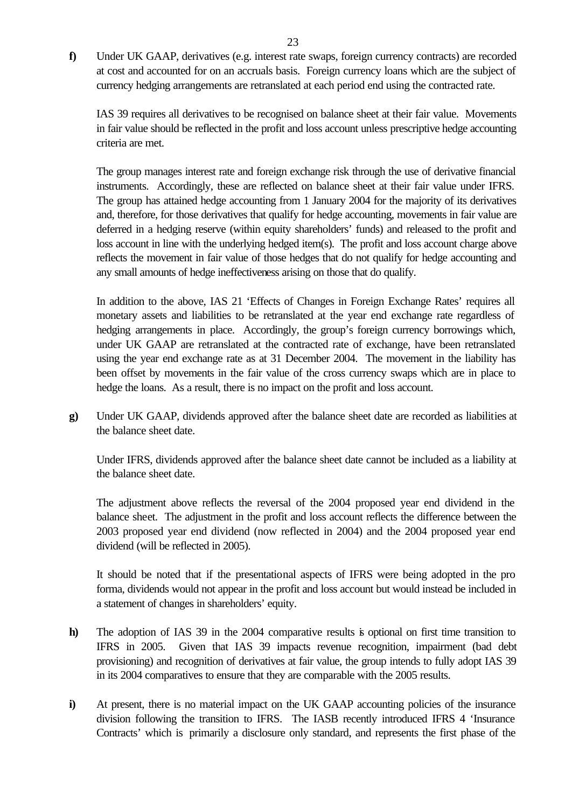**f)** Under UK GAAP, derivatives (e.g. interest rate swaps, foreign currency contracts) are recorded at cost and accounted for on an accruals basis. Foreign currency loans which are the subject of currency hedging arrangements are retranslated at each period end using the contracted rate.

IAS 39 requires all derivatives to be recognised on balance sheet at their fair value. Movements in fair value should be reflected in the profit and loss account unless prescriptive hedge accounting criteria are met.

The group manages interest rate and foreign exchange risk through the use of derivative financial instruments. Accordingly, these are reflected on balance sheet at their fair value under IFRS. The group has attained hedge accounting from 1 January 2004 for the majority of its derivatives and, therefore, for those derivatives that qualify for hedge accounting, movements in fair value are deferred in a hedging reserve (within equity shareholders' funds) and released to the profit and loss account in line with the underlying hedged item(s). The profit and loss account charge above reflects the movement in fair value of those hedges that do not qualify for hedge accounting and any small amounts of hedge ineffectiveness arising on those that do qualify.

In addition to the above, IAS 21 'Effects of Changes in Foreign Exchange Rates' requires all monetary assets and liabilities to be retranslated at the year end exchange rate regardless of hedging arrangements in place. Accordingly, the group's foreign currency borrowings which, under UK GAAP are retranslated at the contracted rate of exchange, have been retranslated using the year end exchange rate as at 31 December 2004. The movement in the liability has been offset by movements in the fair value of the cross currency swaps which are in place to hedge the loans. As a result, there is no impact on the profit and loss account.

**g)** Under UK GAAP, dividends approved after the balance sheet date are recorded as liabilities at the balance sheet date.

Under IFRS, dividends approved after the balance sheet date cannot be included as a liability at the balance sheet date.

The adjustment above reflects the reversal of the 2004 proposed year end dividend in the balance sheet. The adjustment in the profit and loss account reflects the difference between the 2003 proposed year end dividend (now reflected in 2004) and the 2004 proposed year end dividend (will be reflected in 2005).

It should be noted that if the presentational aspects of IFRS were being adopted in the pro forma, dividends would not appear in the profit and loss account but would instead be included in a statement of changes in shareholders' equity.

- **h)** The adoption of IAS 39 in the 2004 comparative results is optional on first time transition to IFRS in 2005. Given that IAS 39 impacts revenue recognition, impairment (bad debt provisioning) and recognition of derivatives at fair value, the group intends to fully adopt IAS 39 in its 2004 comparatives to ensure that they are comparable with the 2005 results.
- **i**) At present, there is no material impact on the UK GAAP accounting policies of the insurance division following the transition to IFRS. The IASB recently introduced IFRS 4 'Insurance Contracts' which is primarily a disclosure only standard, and represents the first phase of the